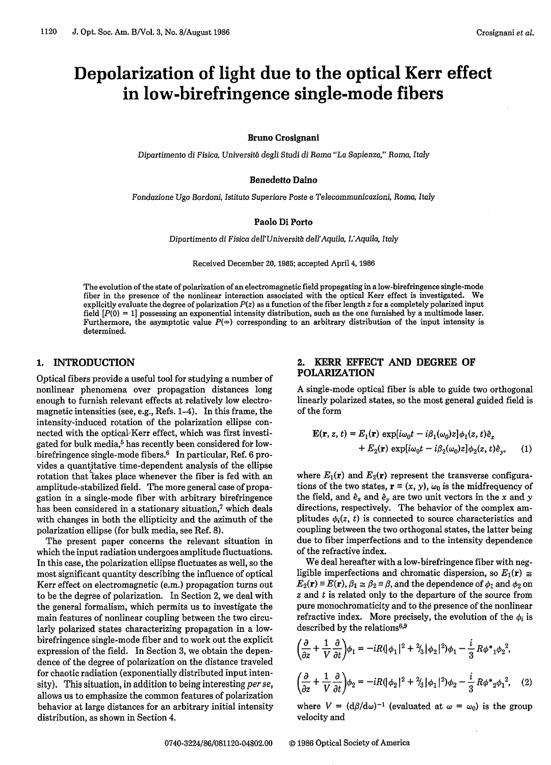# Depolarization of light due to the optical Kerr effect in low-birefringence single-mode fibers

#### **Bruno Crosignani**

Dipartimento *di Fisica,* Universit6 degli Studi *di* Roma "La Sapienza," Roma, Italy

#### **Benedetto Daino**

Fondazione Ugo Bordoni, Istituto Superiore Poste e Telecommunicazioni, *Roma,* Italy

#### **Paolo** Di **Porto**

Dipartimento *di* Fisica dell'Universitb dell'Aquila, L'Aquila, Italy

Received December 20, 1985; accepted April 4, 1986

The evolution of the state of polarization of an electromagnetic field propagating in a low-birefringence single-mode fiber in the presence of the nonlinear interaction associated with the optical Kerr effect is investigated. We explicitly evaluate the degree of polarization  $P(z)$  as a function of the fiber length  $z$  for a completely polarized input field  $[P(0) = 1]$  possessing an exponential intensity distribution, such as the one furnished by a multimode laser. Furthermore, the asymptotic value  $P(\infty)$  corresponding to an arbitrary distribution of the input intensity is determined.

## 1. INTRODUCTION

Optical fibers provide a useful tool for studying a number of nonlinear phenomena over propagation distances long enough to furnish relevant effects at relatively low electromagnetic intensities (see, e.g., Refs. 1-4). In this frame, the intensity-induced rotation of the polarization ellipse connected with the optical-Kerr effect, which was first investigated for bulk media,<sup>5</sup> has recently been considered for lowbirefringence single-mode fibers.<sup>6</sup> In particular, Ref. 6 provides a quantitative time-dependent analysis of the ellipse rotation that takes place whenever the fiber is fed with an amplitude-stabilized field. The more general case of propagation in a single-mode fiber with arbitrary birefringence has been considered in a stationary situation,7 which deals with changes in both the ellipticity and the azimuth of the polarization ellipse (for bulk media, see Ref. 8).

The present paper concerns the relevant situation in which the input radiation undergoes amplitude fluctuations. In this case, the polarization ellipse fluctuates as well, so the most significant quantity describing the influence of optical Kerr effect on electromagnetic (e.m.) propagation turns out to be the degree of polarization. In Section 2, we deal with the general formalism, which permits us to investigate the main features of nonlinear coupling between the two circularly polarized states characterizing propagation in a lowbirefringence single-mode fiber and to work out the explicit expression of the field. In Section 3, we obtain the dependence of the degree of polarization on the distance traveled for chaotic radiation (exponentially distributed input intensity). This situation, in addition to being interesting *per se,* allows us to emphasize the common features of polarization behavior at large distances for an arbitrary initial intensity distribution, as shown in Section 4.

# 2. KERR EFFECT AND DEGREE OF POLARIZATION

A single-mode optical fiber is able to guide two orthogonal linearly polarized states, so the most general guided field is of the form

$$
\mathbf{E}(\mathbf{r}, z, t) = E_1(\mathbf{r}) \exp[i\omega_0 t - i\beta_1(\omega_0)z]\phi_1(z, t)\hat{e}_x \n+ E_2(\mathbf{r}) \exp[i\omega_0 t - i\beta_2(\omega_0)z]\phi_2(z, t)\hat{e}_y,
$$
\n(1)

where  $E_1(\mathbf{r})$  and  $E_2(\mathbf{r})$  represent the transverse configurations of the two states,  $\mathbf{r} \equiv (x, y)$ ,  $\omega_0$  is the midfrequency of the field, and  $\hat{e}_x$  and  $\hat{e}_y$  are two unit vectors in the x and y directions, respectively. The behavior of the complex **am**plitudes  $\phi_i(z, t)$  is connected to source characteristics and coupling between the two orthogonal states, the latter being due to fiber imperfections and to the intensity dependence of the refractive index.

We deal hereafter with a low-birefringence fiber with negligible imperfections and chromatic dispersion, so  $E_1(\mathbf{r}) \approx$  $E_2(\mathbf{r}) \equiv E(\mathbf{r}), \beta_1 \simeq \beta_2 \equiv \beta$ , and the dependence of  $\phi_1$  and  $\phi_2$  on  $z$  and  $t$  is related only to the departure of the source from pure monochromaticity and to the presence of the nonlinear refractive index. More precisely, the evolution of the  $\phi_i$  is described by the relations<sup>6,9</sup>

$$
\left(\frac{\partial}{\partial z} + \frac{1}{V} \frac{\partial}{\partial t}\right) \phi_1 = -iR(\left|\phi_1\right|^2 + \frac{2}{3} \left|\phi_2\right|^2) \phi_1 - \frac{i}{3} R\phi^* \phi_2^2,
$$
\n
$$
\left(\frac{\partial}{\partial z} + \frac{1}{V} \frac{\partial}{\partial t}\right) \phi_2 = -iR(\left|\phi_2\right|^2 + \frac{2}{3} \left|\phi_1\right|^2) \phi_2 - \frac{i}{3} R\phi^* \phi_2 \phi_1^2,\tag{2}
$$

where  $V = (d\beta/d\omega)^{-1}$  (evaluated at  $\omega = \omega_0$ ) is the group velocity and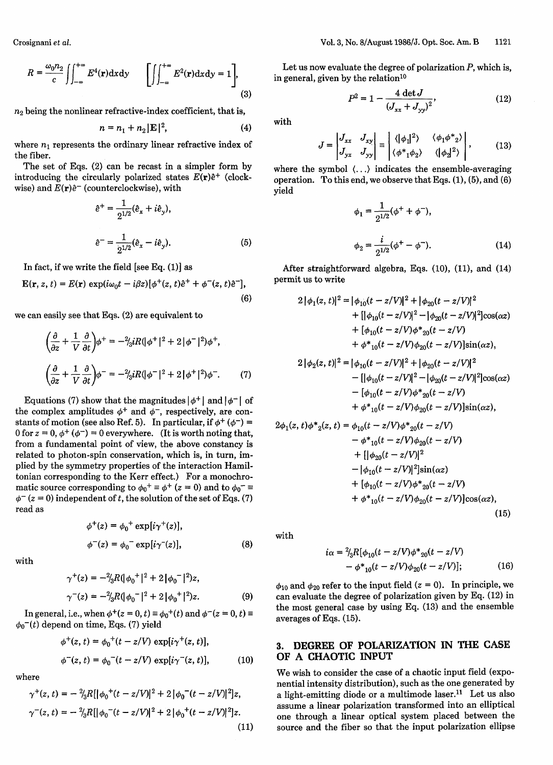Crosignani et *al.*

$$
R = \frac{\omega_0 n_2}{c} \iint_{-\infty}^{+\infty} E^4(\mathbf{r}) \, \mathrm{d}x \, \mathrm{d}y \qquad \left[ \iint_{-\infty}^{+\infty} E^2(\mathbf{r}) \, \mathrm{d}x \, \mathrm{d}y = 1 \right],\tag{3}
$$

 $n_2$  being the nonlinear refractive-index coefficient, that is,

$$
n = n_1 + n_2 |\mathbf{E}|^2, \tag{4}
$$

where  $n_1$  represents the ordinary linear refractive index of the fiber.

The set of Eqs. (2) can be recast in a simpler form by introducing the circularly polarized states  $E(\mathbf{r})\hat{e}^+$  (clockwise) and  $E(r)\hat{e}^-$  (counterclockwise), with

$$
\hat{e}^{+} = \frac{1}{2^{1/2}} (\hat{e}_x + i\hat{e}_y),
$$
  

$$
\hat{e}^{-} = \frac{1}{2^{1/2}} (\hat{e}_x - i\hat{e}_y).
$$
 (5)

In fact, if we write the field [see Eq.  $(1)$ ] as

$$
\mathbf{E}(\mathbf{r}, z, t) = E(\mathbf{r}) \exp(i\omega_0 t - i\beta z) [\phi^+(z, t)\hat{e}^+ + \phi^-(z, t)\hat{e}^-],
$$
  
(6)

we can easily see that Eqs. (2) are equivalent to

$$
\left(\frac{\partial}{\partial z} + \frac{1}{V} \frac{\partial}{\partial t}\right) \phi^+ = -\frac{2}{3}iR(\left|\phi^+\right|^2 + 2\left|\phi^-\right|^2)\phi^+, \n\left(\frac{\partial}{\partial z} + \frac{1}{V} \frac{\partial}{\partial t}\right) \phi^- = -\frac{2}{3}iR(\left|\phi^-\right|^2 + 2\left|\phi^+\right|^2)\phi^-. \tag{7}
$$

Equations (7) show that the magnitudes  $|\phi^+|$  and  $|\phi^-|$  of the complex amplitudes  $\phi^+$  and  $\phi^-$ , respectively, are constants of motion (see also Ref. 5). In particular, if  $\phi^+ (\phi^-)$  = 0 for  $z = 0$ ,  $\phi^+ (\phi^-) = 0$  everywhere. (It is worth noting that, from a fundamental point of view, the above constancy is related to photon-spin conservation, which is, in turn, implied by the symmetry properties of the interaction Hamiltonian corresponding to the Kerr effect.) For a monochromatic source corresponding to  $\phi_0^+ \equiv \phi^+ (z = 0)$  and to  $\phi_0^- \equiv$  $\phi^{-}(z=0)$  independent of t, the solution of the set of Eqs. (7) read as

$$
\phi^+(z) = \phi_0^+ \exp[i\gamma^+(z)],
$$
  

$$
\phi^-(z) = \phi_0^- \exp[i\gamma^-(z)],
$$
 (8)

with

$$
\gamma^{+}(z) = -\frac{2}{3}R(\phi_{0}^{+})^{2} + 2[\phi_{0}^{-}]^{2})z,
$$
  

$$
\gamma^{-}(z) = -\frac{2}{3}R(\phi_{0}^{-})^{2} + 2[\phi_{0}^{+}]^{2})z.
$$
 (9)

In general, i.e., when  $\phi^+(z=0, t) \equiv \phi_0^+(t)$  and  $\phi^-(z=0, t) \equiv$  $\phi_0$ <sup>-</sup>(*t*) depend on time, Eqs. (7) yield

$$
\phi^+(z, t) = \phi_0^+(t - z/V) \exp[i\gamma^+(z, t)],
$$
  

$$
\phi^-(z, t) = \phi_0^-(t - z/V) \exp[i\gamma^-(z, t)],
$$
 (10)

where

$$
\gamma^{+}(z,t) = -\frac{2}{3}R[|\phi_{0}^{+}(t-z/V)|^{2} + 2|\phi_{0}^{-}(t-z/V)|^{2}]z,
$$
  

$$
\gamma^{-}(z,t) = -\frac{2}{3}R[|\phi_{0}^{-}(t-z/V)|^{2} + 2|\phi_{0}^{+}(t-z/V)|^{2}]z.
$$
\n(11)

Let us now evaluate the degree of polarization *P,* which is, in general, given by the relation $10$ 

$$
P^2 = 1 - \frac{4 \det J}{(J_{xx} + J_{yy})^2},
$$
 (12)

with

 $\epsilon$ 

$$
J = \begin{vmatrix} J_{xx} & J_{xy} \\ J_{yx} & J_{yy} \end{vmatrix} \equiv \begin{vmatrix} \langle |\phi_1|^2 \rangle & \langle \phi_1 \phi^*_{2} \rangle \\ \langle \phi^*_{1} \phi_2 \rangle & \langle |\phi_2|^2 \rangle \end{vmatrix}, \quad (13)
$$

where the symbol  $\langle \ldots \rangle$  indicates the ensemble-averaging operation. To this end, we observe that Eqs. (1), (5), and (6) yield

$$
\phi_1 = \frac{1}{2^{1/2}} (\phi^+ + \phi^-),
$$
  

$$
\phi_2 = \frac{i}{2^{1/2}} (\phi^+ - \phi^-).
$$
 (14)

After straightforward algebra, Eqs. (10), (11), and (14) permit us to write

$$
2 |\phi_1(z, t)|^2 = |\phi_{10}(t - z/V)|^2 + |\phi_{20}(t - z/V)|^2
$$
  
+ 
$$
[|\phi_{10}(t - z/V)|^2 - |\phi_{20}(t - z/V)|^2] \cos(\alpha z)
$$
  
+ 
$$
[\phi_{10}(t - z/V)\phi_{20}(t - z/V)
$$
  
+ 
$$
\phi_{10}(t - z/V)\phi_{20}(t - z/V)]\sin(\alpha z),
$$
  

$$
2 |\phi_2(z, t)|^2 = |\phi_{10}(t - z/V)|^2 + |\phi_{20}(t - z/V)|^2
$$
  
- 
$$
[|\phi_{10}(t - z/V)|^2 - |\phi_{20}(t - z/V)|^2] \cos(\alpha z)
$$
  
- 
$$
[\phi_{10}(t - z/V)\phi_{20}(t - z/V)
$$
  
+ 
$$
\phi_{10}(t - z/V)\phi_{20}(t - z/V)\sin(\alpha z),
$$
  

$$
2\phi_1(z, t)\phi_{22}(z, t) = \phi_{10}(t - z/V)\phi_{20}(t - z/V)
$$
  
- 
$$
\phi_{10}(t - z/V)\phi_{20}(t - z/V)
$$
  
+ 
$$
[|\phi_{20}(t - z/V)|^2]
$$
  
- 
$$
|\phi_{10}(t - z/V)|^2]\sin(\alpha z)
$$
  
+ 
$$
[\phi_{10}(t - z/V)\phi_{20}(t - z/V)
$$

with

$$
i\alpha = {}^{2}/_{3}R[\phi_{10}(t - z/V)\phi^{*}_{20}(t - z/V)- \phi^{*}_{10}(t - z/V)\phi_{20}(t - z/V)];
$$
 (16)

+  $\phi^*_{10}(t-z/V)\phi_{20}(t-z/V)\cos(\alpha z)$ ,

(15)

 $\phi_{10}$  and  $\phi_{20}$  refer to the input field ( $z = 0$ ). In principle, we can evaluate the degree of polarization given by Eq. (12) in the most general case by using Eq. (13) and the ensemble averages of Eqs. (15).

# **3. DEGREE OF POLARIZATION IN THE CASE OF A CHAOTIC INPUT**

We wish to consider the case of a chaotic input field (exponential intensity distribution), such as the one generated by a light-emitting diode or a multimode laser.<sup>11</sup> Let us also assume a linear polarization transformed into an elliptical one through a linear optical system placed between the source and the fiber so that the input polarization ellipse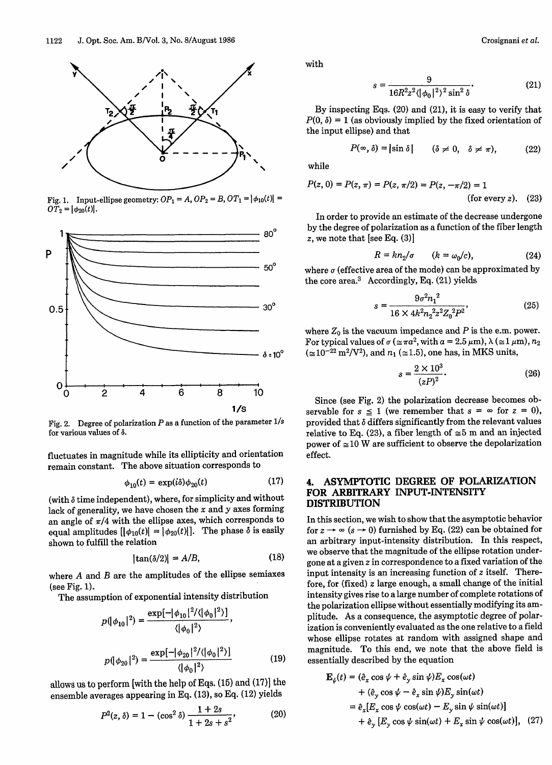

Fig. 1. Input-ellipse geometry:  $OP_1 = A$ ,  $OP_2 = B$ ,  $OT_1 = |\phi_{10}(t)| =$  $O\bar{T}_2 = |\phi_{20}(t)|.$ 



Fig. 2. Degree of polarization  $P$  as a function of the parameter  $1/s$ for various values of *6.*

fluctuates in magnitude while its ellipticity and orientation remain constant. The above situation corresponds to

$$
\phi_{10}(t) = \exp(i\delta)\phi_{20}(t) \tag{17}
$$

(with  $\delta$  time independent), where, for simplicity and without lack of generality, we have chosen the  $x$  and  $y$  axes forming an angle of  $\pi/4$  with the ellipse axes, which corresponds to equal amplitudes  $[|\phi_{10}(t)| = |\phi_{20}(t)|]$ . The phase  $\delta$  is easily shown to fulfill the relation

$$
|\tan(\delta/2)| = A/B,\tag{18}
$$

where  $A$  and  $B$  are the amplitudes of the ellipse semiaxes (see Fig. 1).

The assumption of exponential intensity distribution

$$
p(|\phi_{10}|^2) = \frac{\exp[-|\phi_{10}|^2/(\|\phi_0\|^2)]}{\langle |\phi_0|^2 \rangle},
$$

$$
p(|\phi_{20}|^2) = \frac{\exp[-|\phi_{20}|^2/\langle |\phi_0|^2 \rangle]}{\langle |\phi_0|^2 \rangle} \tag{19}
$$

allows us to perform [with the help of Eqs. (15) and (17)] the ensemble averages appearing in Eq. (13), *s0* Eq. (12) yields

$$
P^{2}(z, \delta) = 1 - (\cos^{2} \delta) \frac{1 + 2s}{1 + 2s + s^{2}},
$$
 (20)

with

$$
s = \frac{9}{16R^2z^2(|\phi_0|^2)^2\sin^2\delta}.
$$
 (21)

By inspecting Eqs. (20) and (21), it is easy to verify that  $P(0, \delta) = 1$  (as obviously implied by the fixed orientation of the input ellipse) and that

$$
P(\infty, \delta) = |\sin \delta| \qquad (\delta \neq 0, \quad \delta \neq \pi), \tag{22}
$$

while

$$
P(z, 0) = P(z, \pi) = P(z, \pi/2) = P(z, -\pi/2) = 1
$$
\n(for every z).

\n(23)

In order to provide an estimate of the decrease undergone by the degree of polarization as a function of the fiber length<br>80° z, we note that [see Eq.  $(3)$ ]

$$
R = kn_2/\sigma \qquad (k = \omega_0/c), \tag{24}
$$

where  $\sigma$  (effective area of the mode) can be approximated by the core area. $3$  Accordingly, Eq. (21) yields

$$
s = \frac{9\sigma^2 n_1^2}{16 \times 4k^2 n_2^2 z^2 Z_0^2 P^2},\tag{25}
$$

where  $Z_0$  is the vacuum impedance and  $P$  is the e.m. power. For typical values of  $\sigma$  ( $\approx \pi a^2$ , with  $a = 2.5 \,\mu$ m),  $\lambda$  ( $\approx$  1  $\mu$ m),  $n_2$  $\delta$ :10<sup>o</sup> ( $\approx$ 10<sup>-22</sup> m<sup>2</sup>/V<sup>2</sup>), and  $n_1$  ( $\approx$ 1.5), one has, in MKS units,

$$
s = \frac{2 \times 10^3}{(zP)^2}.
$$
 (26)

Since (see Fig. 2) the polarization decrease becomes observable for  $s \leq 1$  (we remember that  $s = \infty$  for  $z = 0$ ), provided that 6 differs significantly from the relevant values relative to Eq. (23), a fiber length of  $\approx$  5 m and an injected power of  $\approx 10$  W are sufficient to observe the depolarization effect.

# **4. ASYMPTOTIC DEGREE OF POLARIZATION FOR ARBITRARY INPUT-INTENSITY DISTRIBUTION**

In this section, we wish to show that the asymptotic behavior for  $z \rightarrow \infty$  ( $s \rightarrow 0$ ) furnished by Eq. (22) can be obtained for an arbitrary input-intensity distribution. In this respect, we observe that the magnitude of the ellipse rotation undergone at a given z in correspondence to a fixed variation of the input intensity is an increasing function of z itself. Therefore, for (fixed) z large enough, a small change of the initial intensity gives rise to a large number of complete rotations of the polarization ellipse without essentially modifying its amplitude. As a consequence, the asymptotic degree of polarization is conveniently evaluated as the one relative to a field whose ellipse rotates at random with assigned shape and magnitude. To this end, we note that the above field is essentially described by the equation

$$
\mathbf{E}_{\psi}(t) = (\hat{e}_{x} \cos \psi + \hat{e}_{y} \sin \psi) E_{x} \cos(\omega t)
$$
  
+  $(\hat{e}_{y} \cos \psi - \hat{e}_{x} \sin \psi) E_{y} \sin(\omega t)$   
=  $\hat{e}_{x} [E_{x} \cos \psi \cos(\omega t) - E_{y} \sin \psi \sin(\omega t)]$   
+  $\hat{e}_{y} [E_{y} \cos \psi \sin(\omega t) + E_{x} \sin \psi \cos(\omega t)],$  (27)